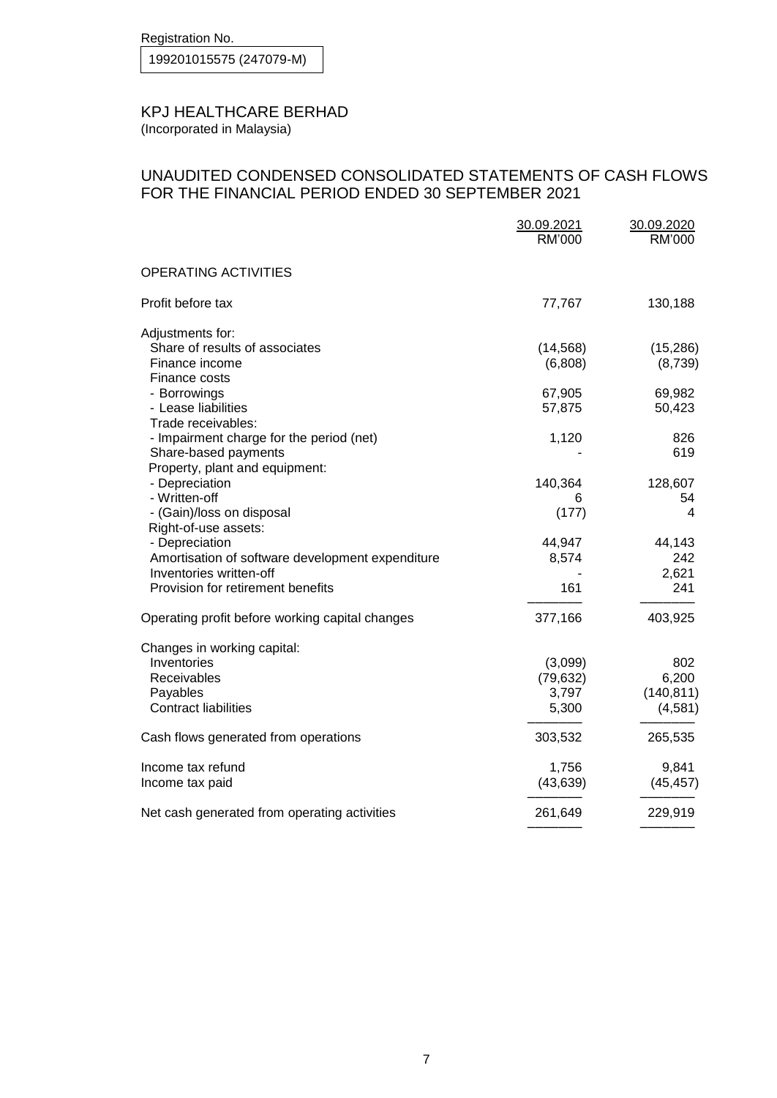Registration No.

199201015575 (247079-M)

## KPJ HEALTHCARE BERHAD

(Incorporated in Malaysia)

## UNAUDITED CONDENSED CONSOLIDATED STATEMENTS OF CASH FLOWS FOR THE FINANCIAL PERIOD ENDED 30 SEPTEMBER 2021

|                                                   | 30.09.2021<br>RM'000 | 30.09.2020<br>RM'000 |
|---------------------------------------------------|----------------------|----------------------|
| <b>OPERATING ACTIVITIES</b>                       |                      |                      |
| Profit before tax                                 | 77,767               | 130,188              |
| Adjustments for:                                  |                      |                      |
| Share of results of associates<br>Finance income  | (14, 568)<br>(6,808) | (15, 286)<br>(8,739) |
| Finance costs                                     |                      |                      |
| - Borrowings<br>- Lease liabilities               | 67,905<br>57,875     | 69,982<br>50,423     |
| Trade receivables:                                |                      |                      |
| - Impairment charge for the period (net)          | 1,120                | 826                  |
| Share-based payments                              |                      | 619                  |
| Property, plant and equipment:<br>- Depreciation  | 140,364              | 128,607              |
| - Written-off                                     | 6                    | 54                   |
| - (Gain)/loss on disposal<br>Right-of-use assets: | (177)                | 4                    |
| - Depreciation                                    | 44,947               | 44,143               |
| Amortisation of software development expenditure  | 8,574                | 242                  |
| Inventories written-off                           |                      | 2,621                |
| Provision for retirement benefits                 | 161                  | 241                  |
| Operating profit before working capital changes   | 377,166              | 403,925              |
| Changes in working capital:                       |                      |                      |
| Inventories                                       | (3,099)              | 802                  |
| Receivables                                       | (79, 632)            | 6,200                |
| Payables<br><b>Contract liabilities</b>           | 3,797                | (140, 811)           |
|                                                   | 5,300                | (4,581)              |
| Cash flows generated from operations              | 303,532              | 265,535              |
| Income tax refund                                 | 1,756                | 9,841                |
| Income tax paid                                   | (43, 639)            | (45, 457)            |
| Net cash generated from operating activities      | 261,649              | 229,919              |
|                                                   |                      |                      |